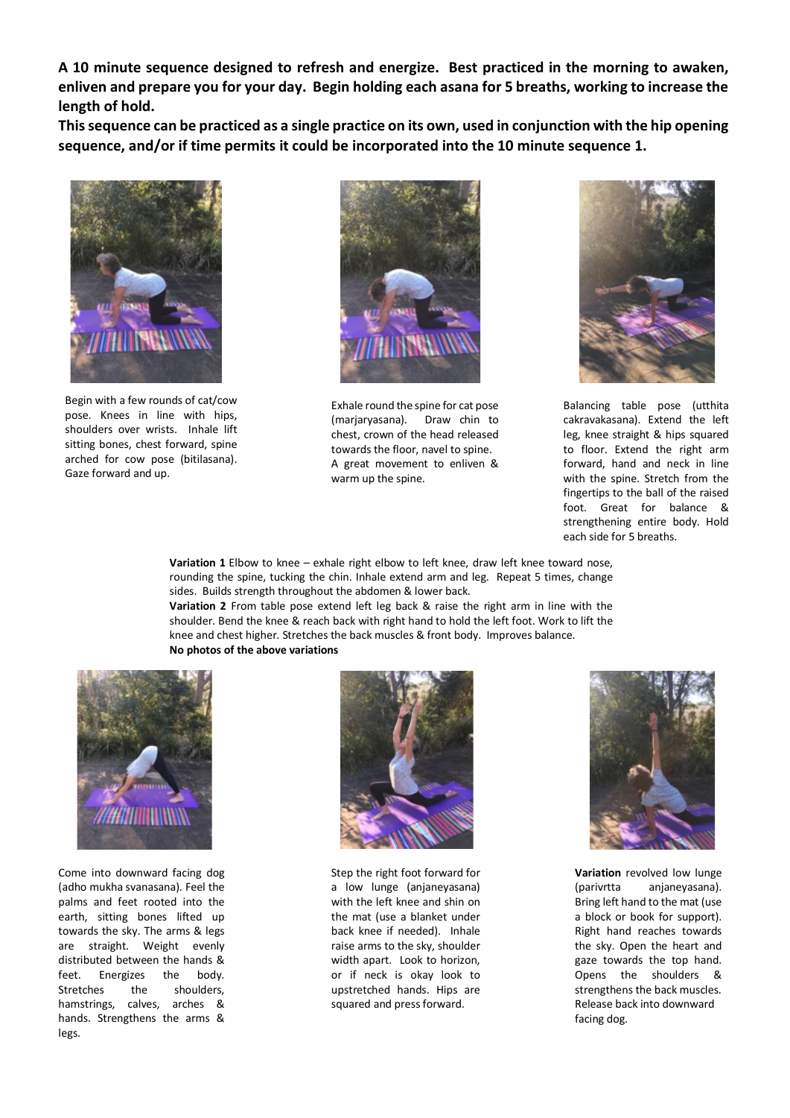**A 10 minute sequence designed to refresh and energize. Best practiced in the morning to awaken, enliven and prepare you for your day. Begin holding each asana for 5 breaths, working to increase the length of hold.** 

**This sequence can be practiced as a single practice on its own, used in conjunction with the hip opening sequence, and/or if time permits it could be incorporated into the 10 minute sequence 1.**



Begin with a few rounds of cat/cow pose. Knees in line with hips, shoulders over wrists. Inhale lift sitting bones, chest forward, spine arched for cow pose (bitilasana). Gaze forward and up.



Exhale round the spine for cat pose (marjaryasana). Draw chin to chest, crown of the head released towards the floor, navel to spine. A great movement to enliven & warm up the spine.



Balancing table pose (utthita cakravakasana). Extend the left leg, knee straight & hips squared to floor. Extend the right arm forward, hand and neck in line with the spine. Stretch from the fingertips to the ball of the raised foot. Great for balance & strengthening entire body. Hold each side for 5 breaths.

**Variation 1** Elbow to knee – exhale right elbow to left knee, draw left knee toward nose, rounding the spine, tucking the chin. Inhale extend arm and leg. Repeat 5 times, change sides. Builds strength throughout the abdomen & lower back.

**Variation 2** From table pose extend left leg back & raise the right arm in line with the shoulder. Bend the knee & reach back with right hand to hold the left foot. Work to lift the knee and chest higher. Stretches the back muscles & front body. Improves balance. **No photos of the above variations**



Come into downward facing dog (adho mukha svanasana). Feel the palms and feet rooted into the earth, sitting bones lifted up towards the sky. The arms & legs are straight. Weight evenly distributed between the hands & feet. Energizes the body. Stretches the shoulders, hamstrings, calves, arches & hands. Strengthens the arms & legs.



Step the right foot forward for a low lunge (anjaneyasana) with the left knee and shin on the mat (use a blanket under back knee if needed). Inhale raise arms to the sky, shoulder width apart. Look to horizon, or if neck is okay look to upstretched hands. Hips are squared and press forward.



**Variation** revolved low lunge (parivrtta anjaneyasana). Bring left hand to the mat (use a block or book for support). Right hand reaches towards the sky. Open the heart and gaze towards the top hand. Opens the shoulders & strengthens the back muscles. Release back into downward facing dog.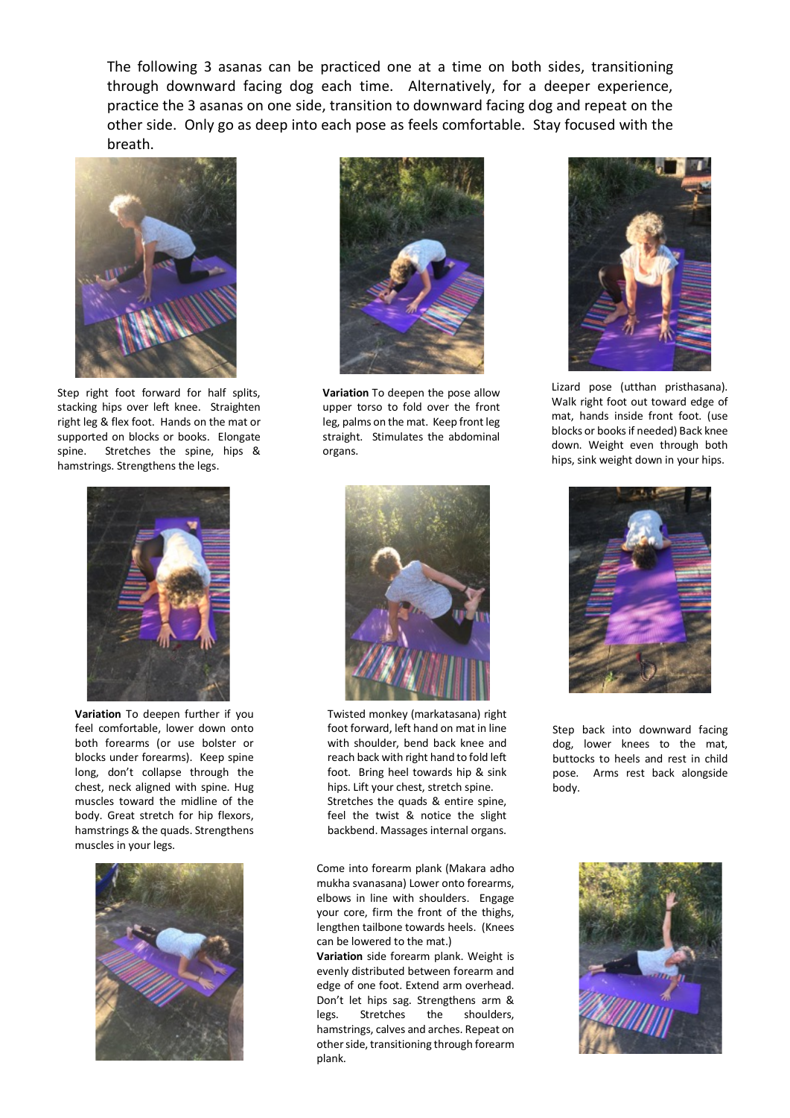The following 3 asanas can be practiced one at a time on both sides, transitioning through downward facing dog each time. Alternatively, for a deeper experience, practice the 3 asanas on one side, transition to downward facing dog and repeat on the other side. Only go as deep into each pose as feels comfortable. Stay focused with the breath.



Step right foot forward for half splits, stacking hips over left knee. Straighten right leg & flex foot. Hands on the mat or supported on blocks or books. Elongate spine. Stretches the spine, hips & hamstrings. Strengthens the legs.



**Variation** To deepen further if you feel comfortable, lower down onto both forearms (or use bolster or blocks under forearms). Keep spine long, don't collapse through the chest, neck aligned with spine. Hug muscles toward the midline of the body. Great stretch for hip flexors, hamstrings & the quads. Strengthens muscles in your legs.





**Variation** To deepen the pose allow upper torso to fold over the front leg, palms on the mat. Keep front leg straight. Stimulates the abdominal organs.



Lizard pose (utthan pristhasana). Walk right foot out toward edge of mat, hands inside front foot. (use blocks or books if needed) Back knee down. Weight even through both hips, sink weight down in your hips.



Twisted monkey (markatasana) right foot forward, left hand on mat in line with shoulder, bend back knee and reach back with right hand to fold left foot. Bring heel towards hip & sink hips. Lift your chest, stretch spine. Stretches the quads & entire spine, feel the twist & notice the slight backbend. Massages internal organs.

Come into forearm plank (Makara adho mukha svanasana) Lower onto forearms, elbows in line with shoulders. Engage your core, firm the front of the thighs, lengthen tailbone towards heels. (Knees can be lowered to the mat.)

**Variation** side forearm plank. Weight is evenly distributed between forearm and edge of one foot. Extend arm overhead. Don't let hips sag. Strengthens arm & legs. Stretches the shoulders, hamstrings, calves and arches. Repeat on other side, transitioning through forearm plank.



Step back into downward facing dog, lower knees to the mat, buttocks to heels and rest in child pose. Arms rest back alongside body.